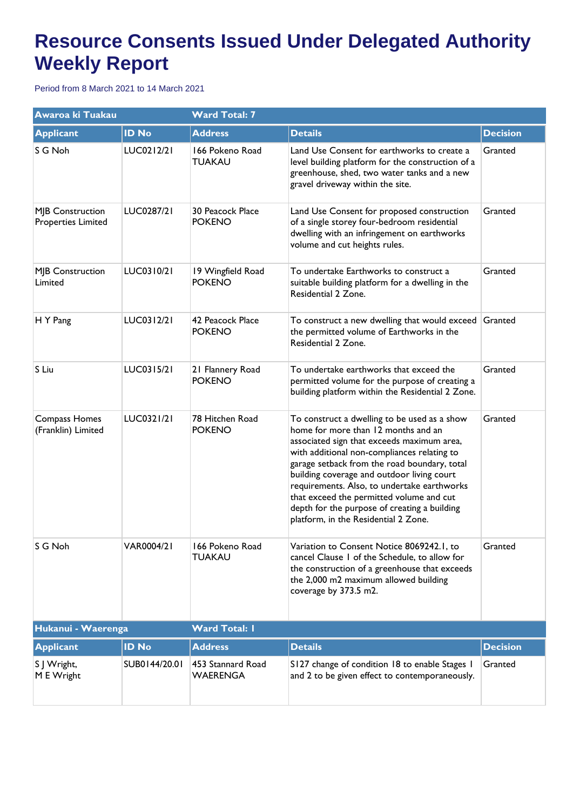## **Resource Consents Issued Under Delegated Authority Weekly Report**

Period from 8 March 2021 to 14 March 2021

| Awaroa ki Tuakau                       |               | <b>Ward Total: 7</b>                 |                                                                                                                                                                                                                                                                                                                                                                                                                                                                   |                 |  |
|----------------------------------------|---------------|--------------------------------------|-------------------------------------------------------------------------------------------------------------------------------------------------------------------------------------------------------------------------------------------------------------------------------------------------------------------------------------------------------------------------------------------------------------------------------------------------------------------|-----------------|--|
| <b>Applicant</b>                       | <b>ID No</b>  | <b>Address</b>                       | <b>Details</b>                                                                                                                                                                                                                                                                                                                                                                                                                                                    | <b>Decision</b> |  |
| S G Noh                                | LUC0212/21    | 166 Pokeno Road<br>TUAKAU            | Land Use Consent for earthworks to create a<br>level building platform for the construction of a<br>greenhouse, shed, two water tanks and a new<br>gravel driveway within the site.                                                                                                                                                                                                                                                                               | Granted         |  |
| MJB Construction<br>Properties Limited | LUC0287/21    | 30 Peacock Place<br><b>POKENO</b>    | Land Use Consent for proposed construction<br>of a single storey four-bedroom residential<br>dwelling with an infringement on earthworks<br>volume and cut heights rules.                                                                                                                                                                                                                                                                                         | Granted         |  |
| MJB Construction<br>Limited            | LUC0310/21    | 19 Wingfield Road<br><b>POKENO</b>   | To undertake Earthworks to construct a<br>suitable building platform for a dwelling in the<br>Residential 2 Zone.                                                                                                                                                                                                                                                                                                                                                 | Granted         |  |
| H Y Pang                               | LUC0312/21    | 42 Peacock Place<br><b>POKENO</b>    | To construct a new dwelling that would exceed Granted<br>the permitted volume of Earthworks in the<br>Residential 2 Zone.                                                                                                                                                                                                                                                                                                                                         |                 |  |
| S Liu                                  | LUC0315/21    | 21 Flannery Road<br><b>POKENO</b>    | To undertake earthworks that exceed the<br>permitted volume for the purpose of creating a<br>building platform within the Residential 2 Zone.                                                                                                                                                                                                                                                                                                                     | Granted         |  |
| Compass Homes<br>(Franklin) Limited    | LUC0321/21    | 78 Hitchen Road<br><b>POKENO</b>     | To construct a dwelling to be used as a show<br>home for more than 12 months and an<br>associated sign that exceeds maximum area,<br>with additional non-compliances relating to<br>garage setback from the road boundary, total<br>building coverage and outdoor living court<br>requirements. Also, to undertake earthworks<br>that exceed the permitted volume and cut<br>depth for the purpose of creating a building<br>platform, in the Residential 2 Zone. | Granted         |  |
| S G Noh                                | VAR0004/21    | 166 Pokeno Road<br><b>TUAKAU</b>     | Variation to Consent Notice 8069242.1, to<br>cancel Clause 1 of the Schedule, to allow for<br>the construction of a greenhouse that exceeds<br>the 2,000 m2 maximum allowed building<br>coverage by 373.5 m2.                                                                                                                                                                                                                                                     | Granted         |  |
| Hukanui - Waerenga                     |               | <b>Ward Total: I</b>                 |                                                                                                                                                                                                                                                                                                                                                                                                                                                                   |                 |  |
| <b>Applicant</b>                       | <b>ID No</b>  | <b>Address</b>                       | <b>Details</b>                                                                                                                                                                                                                                                                                                                                                                                                                                                    | <b>Decision</b> |  |
| S J Wright,<br>M E Wright              | SUB0144/20.01 | 453 Stannard Road<br><b>WAERENGA</b> | S127 change of condition 18 to enable Stages 1<br>and 2 to be given effect to contemporaneously.                                                                                                                                                                                                                                                                                                                                                                  | Granted         |  |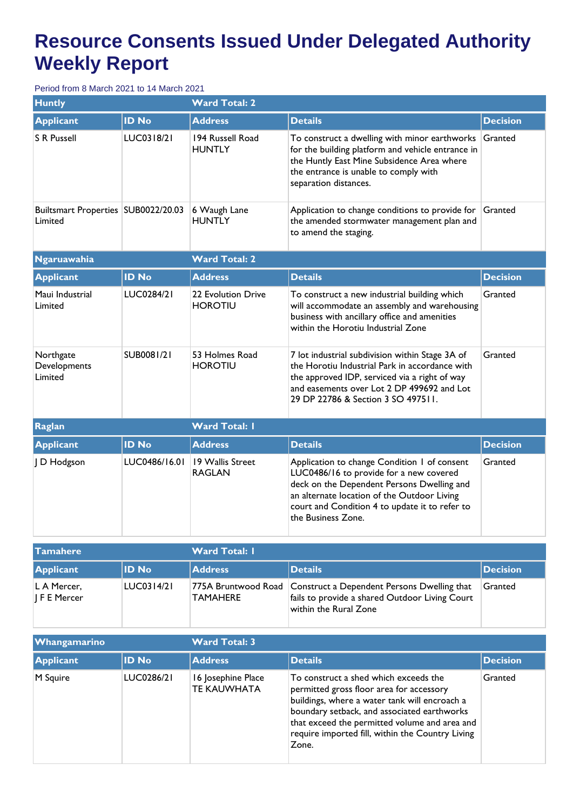## **Resource Consents Issued Under Delegated Authority Weekly Report**

Period from 8 March 2021 to 14 March 2021

| <b>Huntly</b>                                  |               | <b>Ward Total: 2</b>                 |                                                                                                                                                                                                                                                              |                 |  |  |
|------------------------------------------------|---------------|--------------------------------------|--------------------------------------------------------------------------------------------------------------------------------------------------------------------------------------------------------------------------------------------------------------|-----------------|--|--|
| <b>Applicant</b>                               | <b>ID No</b>  | <b>Address</b>                       | <b>Details</b>                                                                                                                                                                                                                                               | <b>Decision</b> |  |  |
| <b>S R Pussell</b>                             | LUC0318/21    | 194 Russell Road<br><b>HUNTLY</b>    | To construct a dwelling with minor earthworks<br>for the building platform and vehicle entrance in<br>the Huntly East Mine Subsidence Area where<br>the entrance is unable to comply with<br>separation distances.                                           | Granted         |  |  |
| Builtsmart Properties SUB0022/20.03<br>Limited |               | 6 Waugh Lane<br><b>HUNTLY</b>        | Application to change conditions to provide for<br>the amended stormwater management plan and<br>to amend the staging.                                                                                                                                       | Granted         |  |  |
| <b>Ngaruawahia</b>                             |               | <b>Ward Total: 2</b>                 |                                                                                                                                                                                                                                                              |                 |  |  |
| <b>Applicant</b>                               | <b>ID No</b>  | <b>Address</b>                       | <b>Details</b>                                                                                                                                                                                                                                               | <b>Decision</b> |  |  |
| Maui Industrial<br>Limited                     | LUC0284/21    | 22 Evolution Drive<br><b>HOROTIU</b> | To construct a new industrial building which<br>will accommodate an assembly and warehousing<br>business with ancillary office and amenities<br>within the Horotiu Industrial Zone                                                                           | Granted         |  |  |
| Northgate<br>Developments<br>Limited           | SUB0081/21    | 53 Holmes Road<br><b>HOROTIU</b>     | 7 lot industrial subdivision within Stage 3A of<br>the Horotiu Industrial Park in accordance with<br>the approved IDP, serviced via a right of way<br>and easements over Lot 2 DP 499692 and Lot<br>29 DP 22786 & Section 3 SO 497511.                       | Granted         |  |  |
| <b>Raglan</b>                                  |               | <b>Ward Total: I</b>                 |                                                                                                                                                                                                                                                              |                 |  |  |
| <b>Applicant</b>                               | <b>ID No</b>  | <b>Address</b>                       | <b>Details</b>                                                                                                                                                                                                                                               | <b>Decision</b> |  |  |
| J D Hodgson                                    | LUC0486/16.01 | 19 Wallis Street<br><b>RAGLAN</b>    | Application to change Condition 1 of consent<br>LUC0486/16 to provide for a new covered<br>deck on the Dependent Persons Dwelling and<br>an alternate location of the Outdoor Living<br>court and Condition 4 to update it to refer to<br>the Business Zone. | Granted         |  |  |

| <b>Tamahere</b>                       |            | <b>Ward Total: I</b> |                                                                                                                                              |                 |  |
|---------------------------------------|------------|----------------------|----------------------------------------------------------------------------------------------------------------------------------------------|-----------------|--|
| <b>Applicant</b>                      | ID No      | <b>Address</b>       | <b>Details</b>                                                                                                                               | <b>Decision</b> |  |
| L A Mercer,<br>$\parallel$ F E Mercer | LUC0314/21 | TAMAHERE             | 775A Bruntwood Road   Construct a Dependent Persons Dwelling that<br>fails to provide a shared Outdoor Living Court<br>within the Rural Zone | Granted         |  |

| <b>Whangamarino</b> |              | <b>Ward Total: 3</b>                     |                                                                                                                                                                                                                                                                                                 |                 |  |
|---------------------|--------------|------------------------------------------|-------------------------------------------------------------------------------------------------------------------------------------------------------------------------------------------------------------------------------------------------------------------------------------------------|-----------------|--|
| <b>Applicant</b>    | <b>ID No</b> | <b>Address</b>                           | <b>Details</b>                                                                                                                                                                                                                                                                                  | <b>Decision</b> |  |
| M Squire            | LUC0286/21   | 16 Josephine Place<br><b>TE KAUWHATA</b> | To construct a shed which exceeds the<br>permitted gross floor area for accessory<br>buildings, where a water tank will encroach a<br>boundary setback, and associated earthworks<br>that exceed the permitted volume and area and<br>require imported fill, within the Country Living<br>Zone. | Granted         |  |